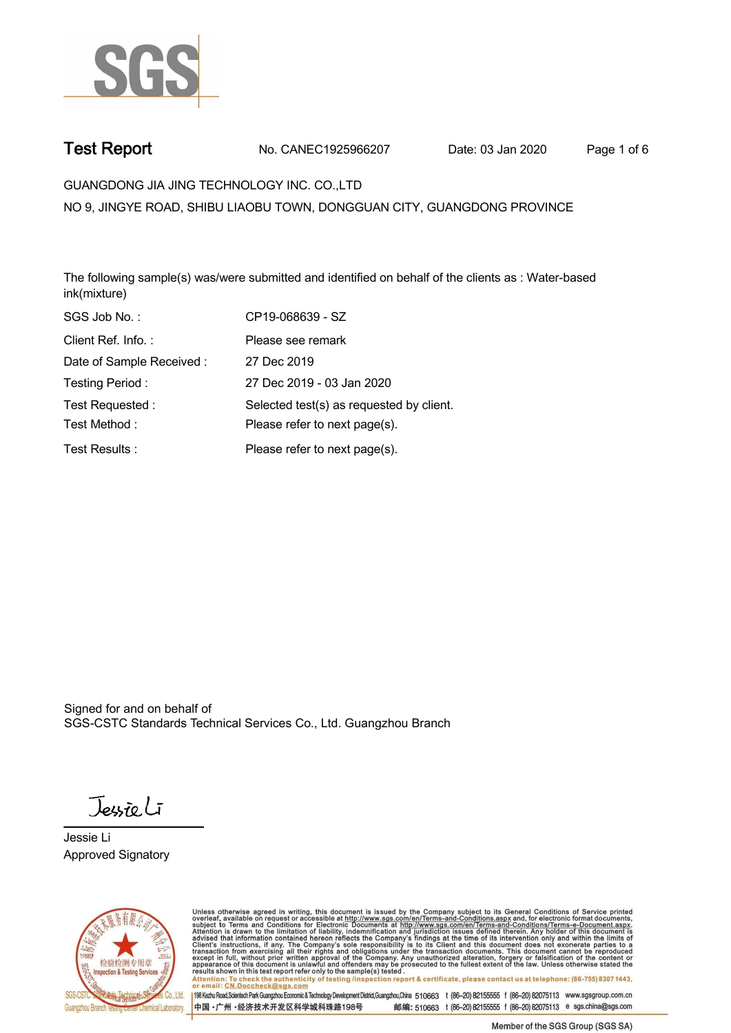

**Test Report. No. CANEC1925966207 Date: 03 Jan 2020. Page 1 of 6.**

**GUANGDONG JIA JING TECHNOLOGY INC. CO.,LTD .**

**NO 9, JINGYE ROAD, SHIBU LIAOBU TOWN, DONGGUAN CITY, GUANGDONG PROVINCE**

**The following sample(s) was/were submitted and identified on behalf of the clients as : Water-based ink(mixture).**

| SGS Job No.:             | CP19-068639 - SZ                         |
|--------------------------|------------------------------------------|
| Client Ref. Info.:       | Please see remark                        |
| Date of Sample Received: | 27 Dec 2019                              |
| Testing Period:          | 27 Dec 2019 - 03 Jan 2020                |
| Test Requested:          | Selected test(s) as requested by client. |
| Test Method:             | Please refer to next page(s).            |
| Test Results:            | Please refer to next page(s).            |

Signed for and on behalf of SGS-CSTC Standards Technical Services Co., Ltd. Guangzhou Branch.

Jessieli

**Jessie Li. Approved Signatory .**



Unless otherwise agreed in writing, this document is issued by the Company subject to its General Conditions of Service printed<br>overleaf, available on request or accessible at http://www.sgs.com/en/Terms-and-Conditions.asp Attention: To check the authenticity of testing /inspection report & certificate, please contact us at telephone: (86-755) 8307 1443,<br>Attention: To check the authenticity of testing /inspection report & certificate, please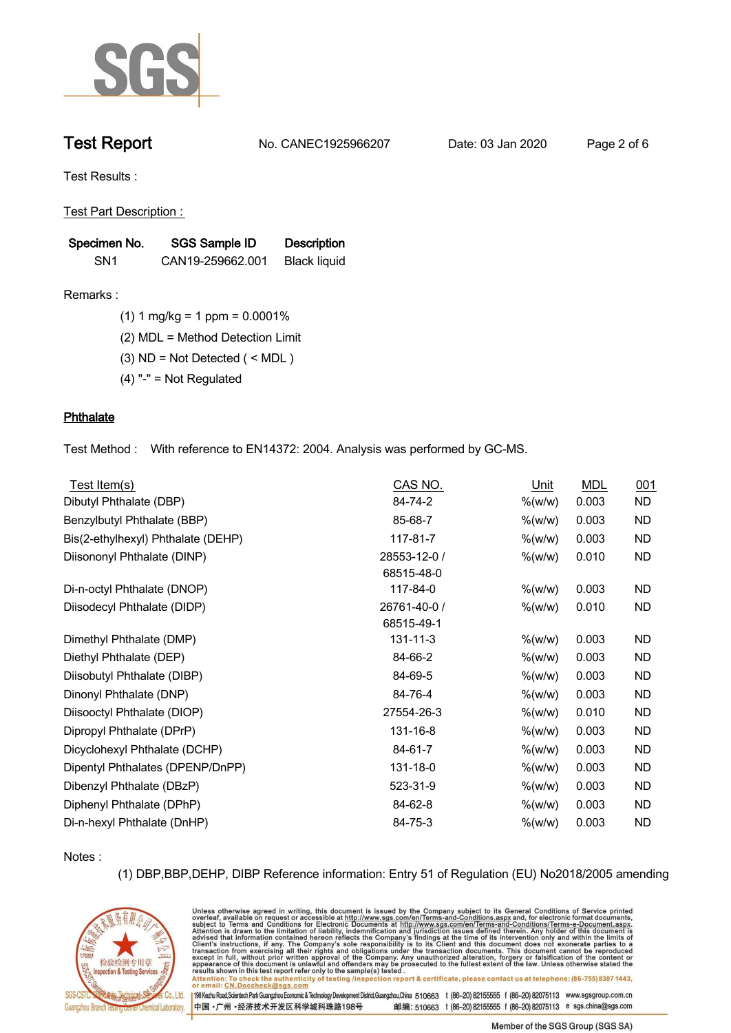

**Test Report. No. CANEC1925966207 Date: 03 Jan 2020. Page 2 of 6.**

**Test Results :.**

**Test Part Description : .**

| Specimen No.    | SGS Sample ID    | <b>Description</b>  |  |
|-----------------|------------------|---------------------|--|
| SN <sub>1</sub> | CAN19-259662.001 | <b>Black liquid</b> |  |

**Remarks :.(1) 1 mg/kg = 1 ppm = 0.0001% .**

**(2) MDL = Method Detection Limit .**

**(3) ND = Not Detected ( < MDL ) .**

**(4) "-" = Not Regulated .**

## **Phthalate.**

**Test Method :. With reference to EN14372: 2004. Analysis was performed by GC-MS. .**

| Test Item(s)                       | CAS NO.        | Unit       | <b>MDL</b> | 001       |
|------------------------------------|----------------|------------|------------|-----------|
| Dibutyl Phthalate (DBP)            | 84-74-2        | % (w/w)    | 0.003      | ND.       |
| Benzylbutyl Phthalate (BBP)        | 85-68-7        | $\%$ (w/w) | 0.003      | <b>ND</b> |
| Bis(2-ethylhexyl) Phthalate (DEHP) | 117-81-7       | $\%$ (w/w) | 0.003      | <b>ND</b> |
| Diisononyl Phthalate (DINP)        | 28553-12-0 /   | $\%$ (w/w) | 0.010      | <b>ND</b> |
|                                    | 68515-48-0     |            |            |           |
| Di-n-octyl Phthalate (DNOP)        | 117-84-0       | $\%$ (w/w) | 0.003      | <b>ND</b> |
| Diisodecyl Phthalate (DIDP)        | 26761-40-0 /   | $\%$ (w/w) | 0.010      | <b>ND</b> |
|                                    | 68515-49-1     |            |            |           |
| Dimethyl Phthalate (DMP)           | $131 - 11 - 3$ | $%$ (w/w)  | 0.003      | ND.       |
| Diethyl Phthalate (DEP)            | 84-66-2        | % (w/w)    | 0.003      | ND.       |
| Diisobutyl Phthalate (DIBP)        | 84-69-5        | $\%$ (w/w) | 0.003      | <b>ND</b> |
| Dinonyl Phthalate (DNP)            | 84-76-4        | $\%$ (w/w) | 0.003      | <b>ND</b> |
| Diisooctyl Phthalate (DIOP)        | 27554-26-3     | $\%$ (w/w) | 0.010      | <b>ND</b> |
| Dipropyl Phthalate (DPrP)          | 131-16-8       | $\%$ (w/w) | 0.003      | <b>ND</b> |
| Dicyclohexyl Phthalate (DCHP)      | 84-61-7        | $\%$ (w/w) | 0.003      | ND.       |
| Dipentyl Phthalates (DPENP/DnPP)   | 131-18-0       | % (w/w)    | 0.003      | <b>ND</b> |
| Dibenzyl Phthalate (DBzP)          | 523-31-9       | $\%$ (w/w) | 0.003      | <b>ND</b> |
| Diphenyl Phthalate (DPhP)          | 84-62-8        | $%$ (w/w)  | 0.003      | <b>ND</b> |
| Di-n-hexyl Phthalate (DnHP)        | 84-75-3        | $%$ (w/w)  | 0.003      | <b>ND</b> |

**Notes :.**

**(1) DBP,BBP,DEHP, DIBP Reference information: Entry 51 of Regulation (EU) No2018/2005 amending** 



Unless otherwise agreed in writing, this document is issued by the Company subject to its General Conditions of Service printed overleaf, available on request or accessible at http://www.sgs.com/en/Terms-and-Conditions.asp results snown in this test report refer only to the sample(s) tested .<br>Attention: To check the authenticity of testing /inspection report & certificate, please contact us at telephone: (86-755) 8307 1443,<br>or email: <u>CN.Doc</u>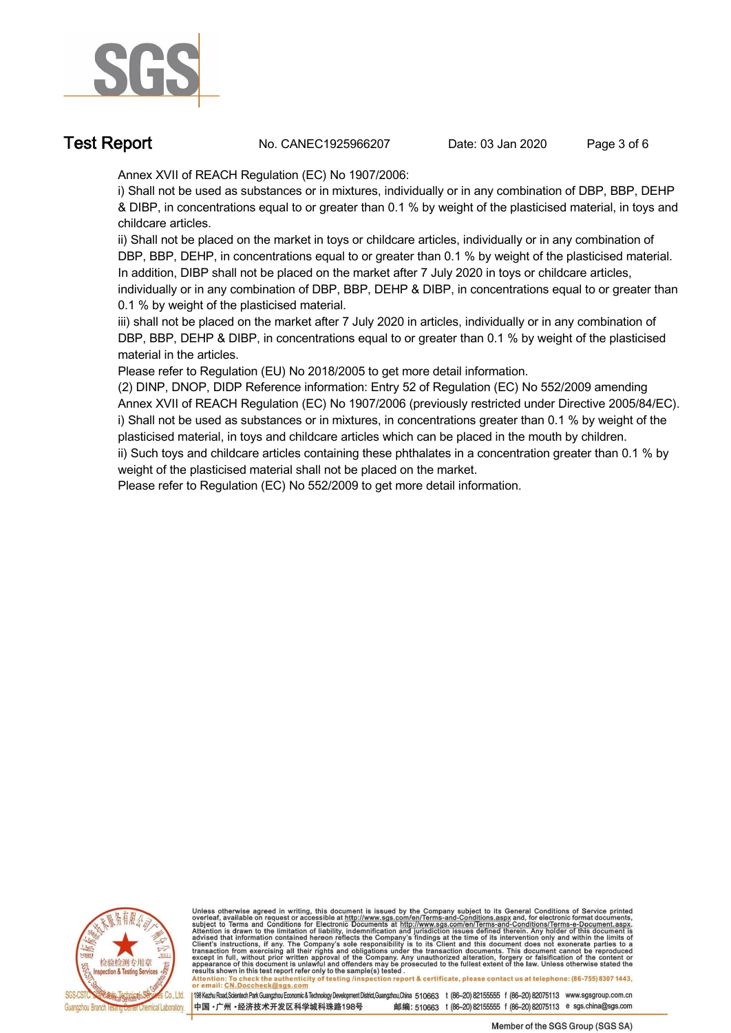

**Test Report. No. CANEC1925966207** Date: 03 Jan 2020 Page 3 of 6

**Annex XVII of REACH Regulation (EC) No 1907/2006:** 

**i) Shall not be used as substances or in mixtures, individually or in any combination of DBP, BBP, DEHP & DIBP, in concentrations equal to or greater than 0.1 % by weight of the plasticised material, in toys and childcare articles.**

**ii) Shall not be placed on the market in toys or childcare articles, individually or in any combination of DBP, BBP, DEHP, in concentrations equal to or greater than 0.1 % by weight of the plasticised material. In addition, DIBP shall not be placed on the market after 7 July 2020 in toys or childcare articles, individually or in any combination of DBP, BBP, DEHP & DIBP, in concentrations equal to or greater than 0.1 % by weight of the plasticised material.**

**iii) shall not be placed on the market after 7 July 2020 in articles, individually or in any combination of DBP, BBP, DEHP & DIBP, in concentrations equal to or greater than 0.1 % by weight of the plasticised material in the articles.**

**Please refer to Regulation (EU) No 2018/2005 to get more detail information.**

**(2) DINP, DNOP, DIDP Reference information: Entry 52 of Regulation (EC) No 552/2009 amending Annex XVII of REACH Regulation (EC) No 1907/2006 (previously restricted under Directive 2005/84/EC). i) Shall not be used as substances or in mixtures, in concentrations greater than 0.1 % by weight of the plasticised material, in toys and childcare articles which can be placed in the mouth by children.**

**ii) Such toys and childcare articles containing these phthalates in a concentration greater than 0.1 % by weight of the plasticised material shall not be placed on the market.**

**Please refer to Regulation (EC) No 552/2009 to get more detail information. .**



Unless otherwise agreed in writing, this document is issued by the Company subject to its General Conditions of Service printed overleaf, available on request or accessible at http://www.sgs.com/en/Terms-and-Conditions.asp

resums shown in mas lost report tells with one sample(s) lesied .<br>Attention: To check the authenticity of testing /inspection report & certificate, please contact us at telephone: (86-755) 8307 1443,<br>or email: <u>CN.Doccheck</u>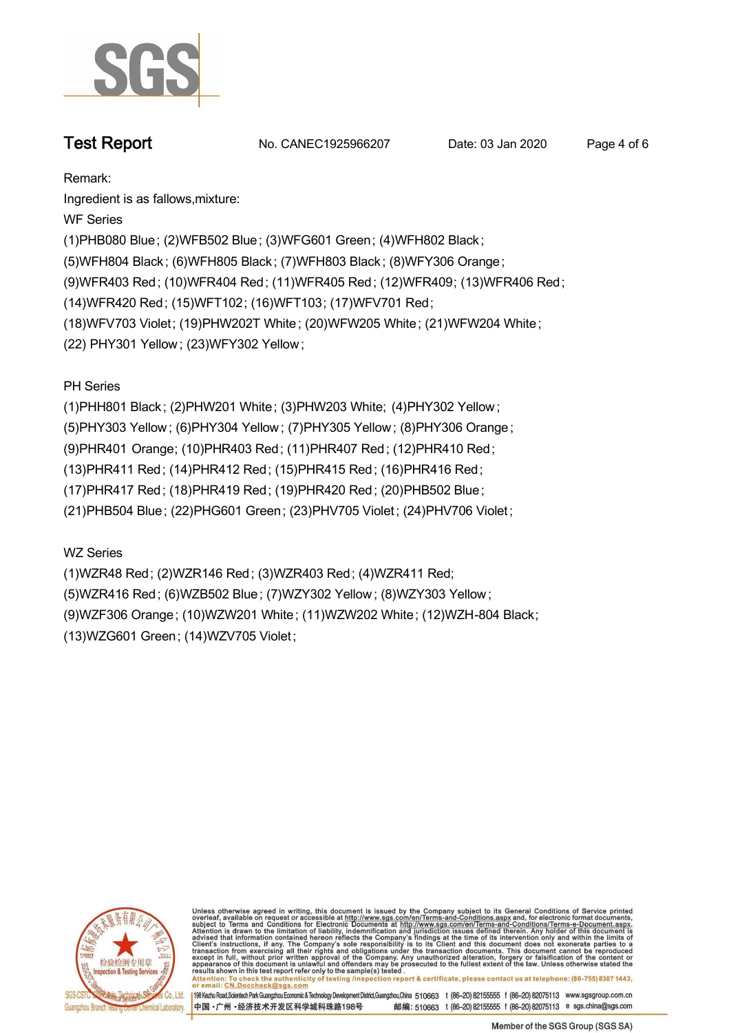

**Test Report. No. CANEC1925966207** Date: 03 Jan 2020 Page 4 of 6

**Remark:**

**Ingredient is as fallows,mixture:**

**WF Series**

**(1)PHB080 Blue; (2)WFB502 Blue; (3)WFG601 Green; (4)WFH802 Black ;**

**(5)WFH804 Black ; (6)WFH805 Black ; (7)WFH803 Black ; (8)WFY306 Orange;**

**(9)WFR403 Red; (10)WFR404 Red; (11)WFR405 Red; (12)WFR409; (13)WFR406 Red;**

**(14)WFR420 Red; (15)WFT102; (16)WFT103; (17)WFV701 Red;**

**(18)WFV703 Violet; (19)PHW202T White ; (20)WFW205 White; (21)WFW204 White;**

**(22) PHY301 Yellow ; (23)WFY302 Yellow ;**

**PH Series**

**(1)PHH801 Black ; (2)PHW201 White; (3)PHW203 White; (4)PHY302 Yellow ;**

**(5)PHY303 Yellow ; (6)PHY304 Yellow ; (7)PHY305 Yellow ; (8)PHY306 Orange ;**

**(9)PHR401 Orange; (10)PHR403 Red; (11)PHR407 Red; (12)PHR410 Red;**

**(13)PHR411 Red; (14)PHR412 Red; (15)PHR415 Red; (16)PHR416 Red;**

**(17)PHR417 Red; (18)PHR419 Red; (19)PHR420 Red; (20)PHB502 Blue;**

**(21)PHB504 Blue; (22)PHG601 Green; (23)PHV705 Violet ; (24)PHV706 Violet ;**

**WZ Series**

**(1)WZR48 Red; (2)WZR146 Red; (3)WZR403 Red; (4)WZR411 Red; (5)WZR416 Red; (6)WZB502 Blue; (7)WZY302 Yellow ; (8)WZY303 Yellow ; (9)WZF306 Orange; (10)WZW201 White; (11)WZW202 White; (12)WZH-804 Black; (13)WZG601 Green; (14)WZV705 Violet;**



Unless otherwise agreed in writing, this document is issued by the Company subject to its General Conditions of Service printed overleaf, available on request or accessible at http://www.sgs.com/en/Terms-and-Conditions.asp resums shown in mas lost report tells with one sample(s) lesied .<br>Attention: To check the authenticity of testing /inspection report & certificate, please contact us at telephone: (86-755) 8307 1443,<br>or email: <u>CN.Doccheck</u>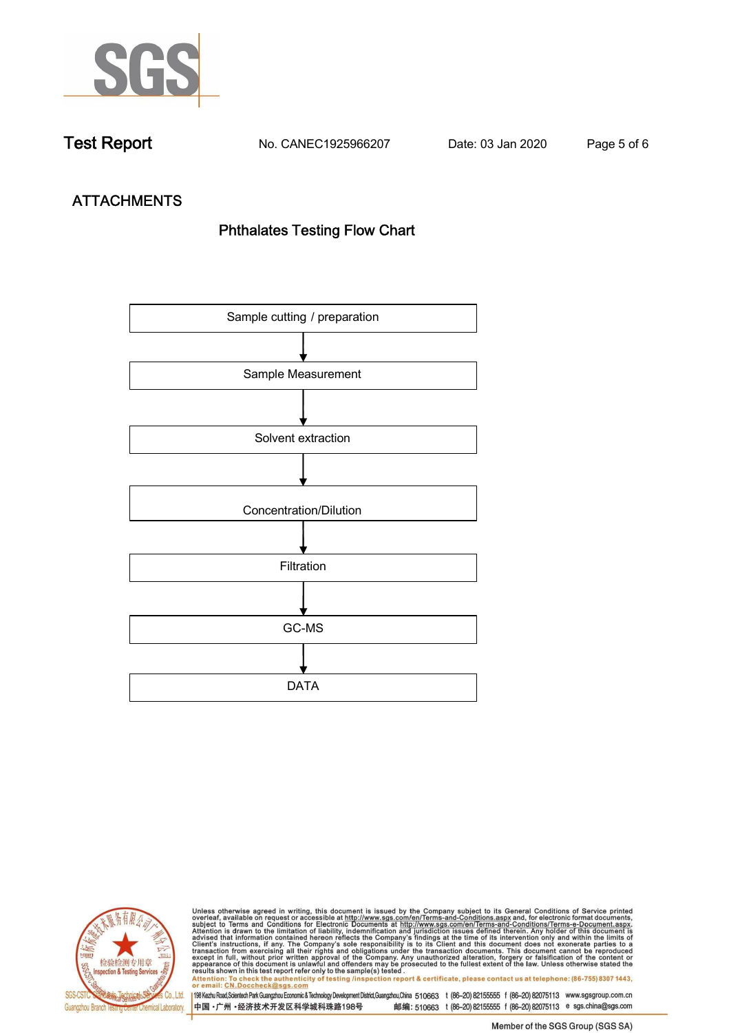

**Test Report. No. CANEC1925966207 Date: 03 Jan 2020. Page 5 of 6.**

# **ATTACHMENTS Phthalates Testing Flow Chart**





Unless otherwise agreed in writing, this document is issued by the Company subject to its General Conditions of Service printed<br>overleaf, available on request or accessible at http://www.sgs.com/en/Terms-and-Conditions.asp results shown in this test report refer only to the sample(s) tested .<br>Attention: To check the authenticity of testing /inspection report & certificate, please contact us at telephone: (86-755) 8307 1443,<br>or email: <u>CN.Doc</u>